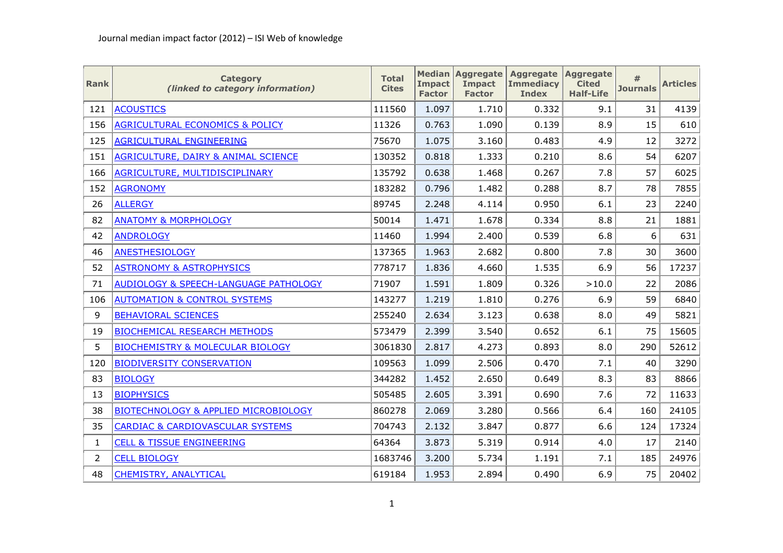| <b>Rank</b>    | <b>Category</b><br>(linked to category information) | <b>Total</b><br><b>Cites</b> | <b>Impact</b><br><b>Factor</b> | <b>Median Aggregate</b><br><b>Impact</b><br><b>Factor</b> | Aggregate Aggregate<br><b>Immediacy</b><br><b>Index</b> | <b>Cited</b><br><b>Half-Life</b> | #<br><b>Journals</b> | <b>Articles</b> |
|----------------|-----------------------------------------------------|------------------------------|--------------------------------|-----------------------------------------------------------|---------------------------------------------------------|----------------------------------|----------------------|-----------------|
| 121            | <b>ACOUSTICS</b>                                    | 111560                       | 1.097                          | 1.710                                                     | 0.332                                                   | 9.1                              | 31                   | 4139            |
| 156            | <b>AGRICULTURAL ECONOMICS &amp; POLICY</b>          | 11326                        | 0.763                          | 1.090                                                     | 0.139                                                   | 8.9                              | 15                   | 610             |
| 125            | <b>AGRICULTURAL ENGINEERING</b>                     | 75670                        | 1.075                          | 3.160                                                     | 0.483                                                   | 4.9                              | 12                   | 3272            |
| 151            | AGRICULTURE, DAIRY & ANIMAL SCIENCE                 | 130352                       | 0.818                          | 1.333                                                     | 0.210                                                   | 8.6                              | 54                   | 6207            |
| 166            | AGRICULTURE, MULTIDISCIPLINARY                      | 135792                       | 0.638                          | 1.468                                                     | 0.267                                                   | 7.8                              | 57                   | 6025            |
| 152            | <b>AGRONOMY</b>                                     | 183282                       | 0.796                          | 1.482                                                     | 0.288                                                   | 8.7                              | 78                   | 7855            |
| 26             | <b>ALLERGY</b>                                      | 89745                        | 2.248                          | 4.114                                                     | 0.950                                                   | 6.1                              | 23                   | 2240            |
| 82             | <b>ANATOMY &amp; MORPHOLOGY</b>                     | 50014                        | 1.471                          | 1.678                                                     | 0.334                                                   | 8.8                              | 21                   | 1881            |
| 42             | <b>ANDROLOGY</b>                                    | 11460                        | 1.994                          | 2.400                                                     | 0.539                                                   | 6.8                              | 6                    | 631             |
| 46             | <b>ANESTHESIOLOGY</b>                               | 137365                       | 1.963                          | 2.682                                                     | 0.800                                                   | 7.8                              | 30                   | 3600            |
| 52             | <b>ASTRONOMY &amp; ASTROPHYSICS</b>                 | 778717                       | 1.836                          | 4.660                                                     | 1.535                                                   | 6.9                              | 56                   | 17237           |
| 71             | <b>AUDIOLOGY &amp; SPEECH-LANGUAGE PATHOLOGY</b>    | 71907                        | 1.591                          | 1.809                                                     | 0.326                                                   | >10.0                            | 22                   | 2086            |
| 106            | <b>AUTOMATION &amp; CONTROL SYSTEMS</b>             | 143277                       | 1.219                          | 1.810                                                     | 0.276                                                   | 6.9                              | 59                   | 6840            |
| 9              | <b>BEHAVIORAL SCIENCES</b>                          | 255240                       | 2.634                          | 3.123                                                     | 0.638                                                   | 8.0                              | 49                   | 5821            |
| 19             | <b>BIOCHEMICAL RESEARCH METHODS</b>                 | 573479                       | 2.399                          | 3.540                                                     | 0.652                                                   | 6.1                              | 75                   | 15605           |
| 5              | <b>BIOCHEMISTRY &amp; MOLECULAR BIOLOGY</b>         | 3061830                      | 2.817                          | 4.273                                                     | 0.893                                                   | 8.0                              | 290                  | 52612           |
| 120            | <b>BIODIVERSITY CONSERVATION</b>                    | 109563                       | 1.099                          | 2.506                                                     | 0.470                                                   | 7.1                              | 40                   | 3290            |
| 83             | <b>BIOLOGY</b>                                      | 344282                       | 1.452                          | 2.650                                                     | 0.649                                                   | 8.3                              | 83                   | 8866            |
| 13             | <b>BIOPHYSICS</b>                                   | 505485                       | 2.605                          | 3.391                                                     | 0.690                                                   | 7.6                              | 72                   | 11633           |
| 38             | <b>BIOTECHNOLOGY &amp; APPLIED MICROBIOLOGY</b>     | 860278                       | 2.069                          | 3.280                                                     | 0.566                                                   | 6.4                              | 160                  | 24105           |
| 35             | <b>CARDIAC &amp; CARDIOVASCULAR SYSTEMS</b>         | 704743                       | 2.132                          | 3.847                                                     | 0.877                                                   | 6.6                              | 124                  | 17324           |
| $\mathbf{1}$   | <b>CELL &amp; TISSUE ENGINEERING</b>                | 64364                        | 3.873                          | 5.319                                                     | 0.914                                                   | 4.0                              | 17                   | 2140            |
| $\overline{2}$ | <b>CELL BIOLOGY</b>                                 | 1683746                      | 3.200                          | 5.734                                                     | 1.191                                                   | 7.1                              | 185                  | 24976           |
| 48             | CHEMISTRY, ANALYTICAL                               | 619184                       | 1.953                          | 2.894                                                     | 0.490                                                   | 6.9                              | 75                   | 20402           |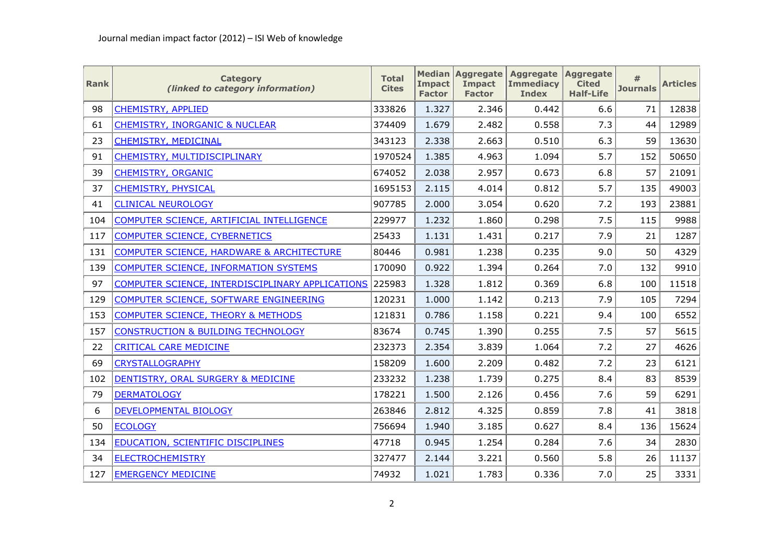| <b>Rank</b> | <b>Category</b><br>(linked to category information)     | <b>Total</b><br><b>Cites</b> | <b>Impact</b><br><b>Factor</b> | <b>Median Aggregate</b><br><b>Impact</b><br><b>Factor</b> | Aggregate Aggregate<br><b>Immediacy</b><br><b>Index</b> | <b>Cited</b><br><b>Half-Life</b> | #<br><b>Journals</b> | <b>Articles</b> |
|-------------|---------------------------------------------------------|------------------------------|--------------------------------|-----------------------------------------------------------|---------------------------------------------------------|----------------------------------|----------------------|-----------------|
| 98          | <b>CHEMISTRY, APPLIED</b>                               | 333826                       | 1.327                          | 2.346                                                     | 0.442                                                   | 6.6                              | 71                   | 12838           |
| 61          | <b>CHEMISTRY, INORGANIC &amp; NUCLEAR</b>               | 374409                       | 1.679                          | 2.482                                                     | 0.558                                                   | 7.3                              | 44                   | 12989           |
| 23          | <b>CHEMISTRY, MEDICINAL</b>                             | 343123                       | 2.338                          | 2.663                                                     | 0.510                                                   | 6.3                              | 59                   | 13630           |
| 91          | CHEMISTRY, MULTIDISCIPLINARY                            | 1970524                      | 1.385                          | 4.963                                                     | 1.094                                                   | 5.7                              | 152                  | 50650           |
| 39          | <b>CHEMISTRY, ORGANIC</b>                               | 674052                       | 2.038                          | 2.957                                                     | 0.673                                                   | 6.8                              | 57                   | 21091           |
| 37          | <b>CHEMISTRY, PHYSICAL</b>                              | 1695153                      | 2.115                          | 4.014                                                     | 0.812                                                   | 5.7                              | 135                  | 49003           |
| 41          | <b>CLINICAL NEUROLOGY</b>                               | 907785                       | 2.000                          | 3.054                                                     | 0.620                                                   | 7.2                              | 193                  | 23881           |
| 104         | COMPUTER SCIENCE, ARTIFICIAL INTELLIGENCE               | 229977                       | 1.232                          | 1.860                                                     | 0.298                                                   | 7.5                              | 115                  | 9988            |
| 117         | <b>COMPUTER SCIENCE, CYBERNETICS</b>                    | 25433                        | 1.131                          | 1.431                                                     | 0.217                                                   | 7.9                              | 21                   | 1287            |
| 131         | <b>COMPUTER SCIENCE, HARDWARE &amp; ARCHITECTURE</b>    | 80446                        | 0.981                          | 1.238                                                     | 0.235                                                   | 9.0                              | 50                   | 4329            |
| 139         | <b>COMPUTER SCIENCE, INFORMATION SYSTEMS</b>            | 170090                       | 0.922                          | 1.394                                                     | 0.264                                                   | 7.0                              | 132                  | 9910            |
| 97          | <b>COMPUTER SCIENCE, INTERDISCIPLINARY APPLICATIONS</b> | 225983                       | 1.328                          | 1.812                                                     | 0.369                                                   | 6.8                              | 100                  | 11518           |
| 129         | COMPUTER SCIENCE, SOFTWARE ENGINEERING                  | 120231                       | 1.000                          | 1.142                                                     | 0.213                                                   | 7.9                              | 105                  | 7294            |
| 153         | <b>COMPUTER SCIENCE, THEORY &amp; METHODS</b>           | 121831                       | 0.786                          | 1.158                                                     | 0.221                                                   | 9.4                              | 100                  | 6552            |
| 157         | <b>CONSTRUCTION &amp; BUILDING TECHNOLOGY</b>           | 83674                        | 0.745                          | 1.390                                                     | 0.255                                                   | 7.5                              | 57                   | 5615            |
| 22          | <b>CRITICAL CARE MEDICINE</b>                           | 232373                       | 2.354                          | 3.839                                                     | 1.064                                                   | 7.2                              | 27                   | 4626            |
| 69          | <b>CRYSTALLOGRAPHY</b>                                  | 158209                       | 1.600                          | 2.209                                                     | 0.482                                                   | 7.2                              | 23                   | 6121            |
| 102         | DENTISTRY, ORAL SURGERY & MEDICINE                      | 233232                       | 1.238                          | 1.739                                                     | 0.275                                                   | 8.4                              | 83                   | 8539            |
| 79          | <b>DERMATOLOGY</b>                                      | 178221                       | 1.500                          | 2.126                                                     | 0.456                                                   | 7.6                              | 59                   | 6291            |
| 6           | DEVELOPMENTAL BIOLOGY                                   | 263846                       | 2.812                          | 4.325                                                     | 0.859                                                   | 7.8                              | 41                   | 3818            |
| 50          | <b>ECOLOGY</b>                                          | 756694                       | 1.940                          | 3.185                                                     | 0.627                                                   | 8.4                              | 136                  | 15624           |
| 134         | EDUCATION, SCIENTIFIC DISCIPLINES                       | 47718                        | 0.945                          | 1.254                                                     | 0.284                                                   | 7.6                              | 34                   | 2830            |
| 34          | <b>ELECTROCHEMISTRY</b>                                 | 327477                       | 2.144                          | 3.221                                                     | 0.560                                                   | 5.8                              | 26                   | 11137           |
| 127         | <b>EMERGENCY MEDICINE</b>                               | 74932                        | 1.021                          | 1.783                                                     | 0.336                                                   | 7.0                              | 25                   | 3331            |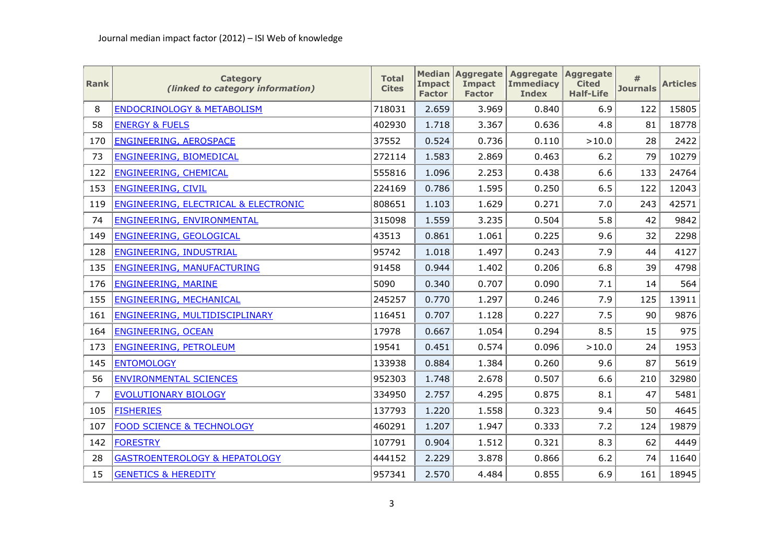| <b>Rank</b>    | <b>Category</b><br>(linked to category information) | <b>Total</b><br><b>Cites</b> | <b>Impact</b><br><b>Factor</b> | <b>Median Aggregate</b><br><b>Impact</b><br><b>Factor</b> | Aggregate Aggregate<br><b>Immediacy</b><br><b>Index</b> | <b>Cited</b><br><b>Half-Life</b> | #<br><b>Journals</b> | <b>Articles</b> |
|----------------|-----------------------------------------------------|------------------------------|--------------------------------|-----------------------------------------------------------|---------------------------------------------------------|----------------------------------|----------------------|-----------------|
| 8              | <b>ENDOCRINOLOGY &amp; METABOLISM</b>               | 718031                       | 2.659                          | 3.969                                                     | 0.840                                                   | 6.9                              | 122                  | 15805           |
| 58             | <b>ENERGY &amp; FUELS</b>                           | 402930                       | 1.718                          | 3.367                                                     | 0.636                                                   | 4.8                              | 81                   | 18778           |
| 170            | <b>ENGINEERING, AEROSPACE</b>                       | 37552                        | 0.524                          | 0.736                                                     | 0.110                                                   | >10.0                            | 28                   | 2422            |
| 73             | <b>ENGINEERING, BIOMEDICAL</b>                      | 272114                       | 1.583                          | 2.869                                                     | 0.463                                                   | 6.2                              | 79                   | 10279           |
| 122            | <b>ENGINEERING, CHEMICAL</b>                        | 555816                       | 1.096                          | 2.253                                                     | 0.438                                                   | 6.6                              | 133                  | 24764           |
| 153            | <b>ENGINEERING, CIVIL</b>                           | 224169                       | 0.786                          | 1.595                                                     | 0.250                                                   | 6.5                              | 122                  | 12043           |
| 119            | <b>ENGINEERING, ELECTRICAL &amp; ELECTRONIC</b>     | 808651                       | 1.103                          | 1.629                                                     | 0.271                                                   | 7.0                              | 243                  | 42571           |
| 74             | ENGINEERING, ENVIRONMENTAL                          | 315098                       | 1.559                          | 3.235                                                     | 0.504                                                   | 5.8                              | 42                   | 9842            |
| 149            | ENGINEERING, GEOLOGICAL                             | 43513                        | 0.861                          | 1.061                                                     | 0.225                                                   | 9.6                              | 32                   | 2298            |
| 128            | ENGINEERING, INDUSTRIAL                             | 95742                        | 1.018                          | 1.497                                                     | 0.243                                                   | 7.9                              | 44                   | 4127            |
| 135            | <b>ENGINEERING, MANUFACTURING</b>                   | 91458                        | 0.944                          | 1.402                                                     | 0.206                                                   | 6.8                              | 39                   | 4798            |
| 176            | <b>ENGINEERING, MARINE</b>                          | 5090                         | 0.340                          | 0.707                                                     | 0.090                                                   | 7.1                              | 14                   | 564             |
| 155            | <b>ENGINEERING, MECHANICAL</b>                      | 245257                       | 0.770                          | 1.297                                                     | 0.246                                                   | 7.9                              | 125                  | 13911           |
| 161            | ENGINEERING, MULTIDISCIPLINARY                      | 116451                       | 0.707                          | 1.128                                                     | 0.227                                                   | 7.5                              | 90                   | 9876            |
| 164            | <b>ENGINEERING, OCEAN</b>                           | 17978                        | 0.667                          | 1.054                                                     | 0.294                                                   | 8.5                              | 15                   | 975             |
| 173            | ENGINEERING, PETROLEUM                              | 19541                        | 0.451                          | 0.574                                                     | 0.096                                                   | >10.0                            | 24                   | 1953            |
| 145            | <b>ENTOMOLOGY</b>                                   | 133938                       | 0.884                          | 1.384                                                     | 0.260                                                   | 9.6                              | 87                   | 5619            |
| 56             | <b>ENVIRONMENTAL SCIENCES</b>                       | 952303                       | 1.748                          | 2.678                                                     | 0.507                                                   | 6.6                              | 210                  | 32980           |
| $\overline{7}$ | <b>EVOLUTIONARY BIOLOGY</b>                         | 334950                       | 2.757                          | 4.295                                                     | 0.875                                                   | 8.1                              | 47                   | 5481            |
| 105            | <b>FISHERIES</b>                                    | 137793                       | 1.220                          | 1.558                                                     | 0.323                                                   | 9.4                              | 50                   | 4645            |
| 107            | <b>FOOD SCIENCE &amp; TECHNOLOGY</b>                | 460291                       | 1.207                          | 1.947                                                     | 0.333                                                   | 7.2                              | 124                  | 19879           |
| 142            | <b>FORESTRY</b>                                     | 107791                       | 0.904                          | 1.512                                                     | 0.321                                                   | 8.3                              | 62                   | 4449            |
| 28             | <b>GASTROENTEROLOGY &amp; HEPATOLOGY</b>            | 444152                       | 2.229                          | 3.878                                                     | 0.866                                                   | 6.2                              | 74                   | 11640           |
| 15             | <b>GENETICS &amp; HEREDITY</b>                      | 957341                       | 2.570                          | 4.484                                                     | 0.855                                                   | 6.9                              | 161                  | 18945           |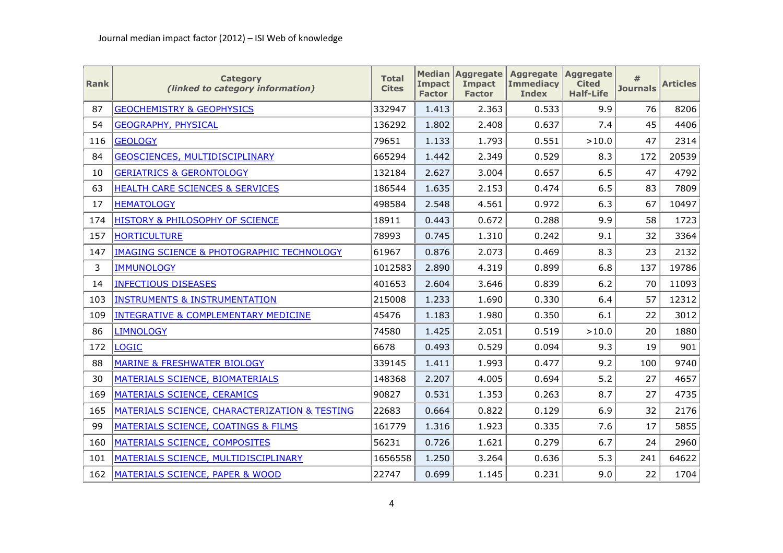| <b>Rank</b> | <b>Category</b><br>(linked to category information)  | <b>Total</b><br><b>Cites</b> | <b>Impact</b><br><b>Factor</b> | <b>Median Aggregate</b><br><b>Impact</b><br><b>Factor</b> | Aggregate Aggregate<br><b>Immediacy</b><br><b>Index</b> | <b>Cited</b><br><b>Half-Life</b> | <b>Journals</b> | <b>Articles</b> |
|-------------|------------------------------------------------------|------------------------------|--------------------------------|-----------------------------------------------------------|---------------------------------------------------------|----------------------------------|-----------------|-----------------|
| 87          | <b>GEOCHEMISTRY &amp; GEOPHYSICS</b>                 | 332947                       | 1.413                          | 2.363                                                     | 0.533                                                   | 9.9                              | 76              | 8206            |
| 54          | <b>GEOGRAPHY, PHYSICAL</b>                           | 136292                       | 1.802                          | 2.408                                                     | 0.637                                                   | 7.4                              | 45              | 4406            |
| 116         | <b>GEOLOGY</b>                                       | 79651                        | 1.133                          | 1.793                                                     | 0.551                                                   | >10.0                            | 47              | 2314            |
| 84          | GEOSCIENCES, MULTIDISCIPLINARY                       | 665294                       | 1.442                          | 2.349                                                     | 0.529                                                   | 8.3                              | 172             | 20539           |
| 10          | <b>GERIATRICS &amp; GERONTOLOGY</b>                  | 132184                       | 2.627                          | 3.004                                                     | 0.657                                                   | 6.5                              | 47              | 4792            |
| 63          | HEALTH CARE SCIENCES & SERVICES                      | 186544                       | 1.635                          | 2.153                                                     | 0.474                                                   | 6.5                              | 83              | 7809            |
| 17          | <b>HEMATOLOGY</b>                                    | 498584                       | 2.548                          | 4.561                                                     | 0.972                                                   | 6.3                              | 67              | 10497           |
| 174         | HISTORY & PHILOSOPHY OF SCIENCE                      | 18911                        | 0.443                          | 0.672                                                     | 0.288                                                   | 9.9                              | 58              | 1723            |
| 157         | <b>HORTICULTURE</b>                                  | 78993                        | 0.745                          | 1.310                                                     | 0.242                                                   | 9.1                              | 32              | 3364            |
| 147         | <b>IMAGING SCIENCE &amp; PHOTOGRAPHIC TECHNOLOGY</b> | 61967                        | 0.876                          | 2.073                                                     | 0.469                                                   | 8.3                              | 23              | 2132            |
| 3           | <b>IMMUNOLOGY</b>                                    | 1012583                      | 2.890                          | 4.319                                                     | 0.899                                                   | 6.8                              | 137             | 19786           |
| 14          | <b>INFECTIOUS DISEASES</b>                           | 401653                       | 2.604                          | 3.646                                                     | 0.839                                                   | 6.2                              | 70              | 11093           |
| 103         | <b>INSTRUMENTS &amp; INSTRUMENTATION</b>             | 215008                       | 1.233                          | 1.690                                                     | 0.330                                                   | 6.4                              | 57              | 12312           |
| 109         | <b>INTEGRATIVE &amp; COMPLEMENTARY MEDICINE</b>      | 45476                        | 1.183                          | 1.980                                                     | 0.350                                                   | 6.1                              | 22              | 3012            |
| 86          | <b>LIMNOLOGY</b>                                     | 74580                        | 1.425                          | 2.051                                                     | 0.519                                                   | >10.0                            | 20              | 1880            |
| 172         | <b>LOGIC</b>                                         | 6678                         | 0.493                          | 0.529                                                     | 0.094                                                   | 9.3                              | 19              | 901             |
| 88          | <b>MARINE &amp; FRESHWATER BIOLOGY</b>               | 339145                       | 1.411                          | 1.993                                                     | 0.477                                                   | 9.2                              | 100             | 9740            |
| 30          | MATERIALS SCIENCE, BIOMATERIALS                      | 148368                       | 2.207                          | 4.005                                                     | 0.694                                                   | 5.2                              | 27              | 4657            |
| 169         | MATERIALS SCIENCE, CERAMICS                          | 90827                        | 0.531                          | 1.353                                                     | 0.263                                                   | 8.7                              | 27              | 4735            |
| 165         | MATERIALS SCIENCE, CHARACTERIZATION & TESTING        | 22683                        | 0.664                          | 0.822                                                     | 0.129                                                   | 6.9                              | 32              | 2176            |
| 99          | MATERIALS SCIENCE, COATINGS & FILMS                  | 161779                       | 1.316                          | 1.923                                                     | 0.335                                                   | 7.6                              | 17              | 5855            |
| 160         | MATERIALS SCIENCE, COMPOSITES                        | 56231                        | 0.726                          | 1.621                                                     | 0.279                                                   | 6.7                              | 24              | 2960            |
| 101         | MATERIALS SCIENCE, MULTIDISCIPLINARY                 | 1656558                      | 1.250                          | 3.264                                                     | 0.636                                                   | 5.3                              | 241             | 64622           |
| 162         | MATERIALS SCIENCE, PAPER & WOOD                      | 22747                        | 0.699                          | 1.145                                                     | 0.231                                                   | 9.0                              | 22              | 1704            |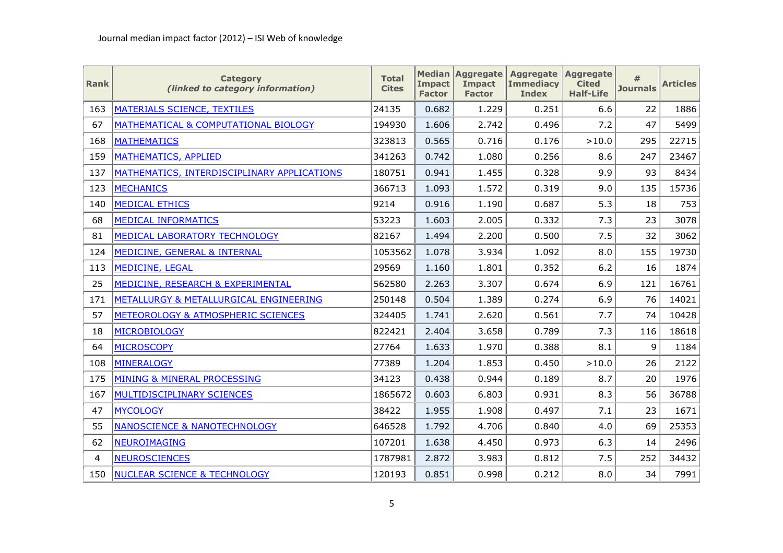| <b>Rank</b> | <b>Category</b><br>(linked to category information) | <b>Total</b><br><b>Cites</b> | <b>Impact</b><br><b>Factor</b> | <b>Median Aggregate</b><br><b>Impact</b><br><b>Factor</b> | Aggregate Aggregate<br><b>Immediacy</b><br><b>Index</b> | <b>Cited</b><br><b>Half-Life</b> | #<br><b>Journals</b> | <b>Articles</b> |
|-------------|-----------------------------------------------------|------------------------------|--------------------------------|-----------------------------------------------------------|---------------------------------------------------------|----------------------------------|----------------------|-----------------|
| 163         | MATERIALS SCIENCE, TEXTILES                         | 24135                        | 0.682                          | 1.229                                                     | 0.251                                                   | 6.6                              | 22                   | 1886            |
| 67          | MATHEMATICAL & COMPUTATIONAL BIOLOGY                | 194930                       | 1.606                          | 2.742                                                     | 0.496                                                   | 7.2                              | 47                   | 5499            |
| 168         | <b>MATHEMATICS</b>                                  | 323813                       | 0.565                          | 0.716                                                     | 0.176                                                   | >10.0                            | 295                  | 22715           |
| 159         | <b>MATHEMATICS, APPLIED</b>                         | 341263                       | 0.742                          | 1.080                                                     | 0.256                                                   | 8.6                              | 247                  | 23467           |
| 137         | MATHEMATICS, INTERDISCIPLINARY APPLICATIONS         | 180751                       | 0.941                          | 1.455                                                     | 0.328                                                   | 9.9                              | 93                   | 8434            |
| 123         | <b>MECHANICS</b>                                    | 366713                       | 1.093                          | 1.572                                                     | 0.319                                                   | 9.0                              | 135                  | 15736           |
| 140         | <b>MEDICAL ETHICS</b>                               | 9214                         | 0.916                          | 1.190                                                     | 0.687                                                   | 5.3                              | 18                   | 753             |
| 68          | <b>MEDICAL INFORMATICS</b>                          | 53223                        | 1.603                          | 2.005                                                     | 0.332                                                   | 7.3                              | 23                   | 3078            |
| 81          | MEDICAL LABORATORY TECHNOLOGY                       | 82167                        | 1.494                          | 2.200                                                     | 0.500                                                   | 7.5                              | 32                   | 3062            |
| 124         | MEDICINE, GENERAL & INTERNAL                        | 1053562                      | 1.078                          | 3.934                                                     | 1.092                                                   | 8.0                              | 155                  | 19730           |
| 113         | <b>MEDICINE, LEGAL</b>                              | 29569                        | 1.160                          | 1.801                                                     | 0.352                                                   | 6.2                              | 16                   | 1874            |
| 25          | MEDICINE, RESEARCH & EXPERIMENTAL                   | 562580                       | 2.263                          | 3.307                                                     | 0.674                                                   | 6.9                              | 121                  | 16761           |
| 171         | METALLURGY & METALLURGICAL ENGINEERING              | 250148                       | 0.504                          | 1.389                                                     | 0.274                                                   | 6.9                              | 76                   | 14021           |
| 57          | METEOROLOGY & ATMOSPHERIC SCIENCES                  | 324405                       | 1.741                          | 2.620                                                     | 0.561                                                   | 7.7                              | 74                   | 10428           |
| 18          | <b>MICROBIOLOGY</b>                                 | 822421                       | 2.404                          | 3.658                                                     | 0.789                                                   | 7.3                              | 116                  | 18618           |
| 64          | <b>MICROSCOPY</b>                                   | 27764                        | 1.633                          | 1.970                                                     | 0.388                                                   | 8.1                              | 9                    | 1184            |
| 108         | <b>MINERALOGY</b>                                   | 77389                        | 1.204                          | 1.853                                                     | 0.450                                                   | >10.0                            | 26                   | 2122            |
| 175         | MINING & MINERAL PROCESSING                         | 34123                        | 0.438                          | 0.944                                                     | 0.189                                                   | 8.7                              | 20                   | 1976            |
| 167         | MULTIDISCIPLINARY SCIENCES                          | 1865672                      | 0.603                          | 6.803                                                     | 0.931                                                   | 8.3                              | 56                   | 36788           |
| 47          | <b>MYCOLOGY</b>                                     | 38422                        | 1.955                          | 1.908                                                     | 0.497                                                   | 7.1                              | 23                   | 1671            |
| 55          | <b>NANOSCIENCE &amp; NANOTECHNOLOGY</b>             | 646528                       | 1.792                          | 4.706                                                     | 0.840                                                   | 4.0                              | 69                   | 25353           |
| 62          | <b>NEUROIMAGING</b>                                 | 107201                       | 1.638                          | 4.450                                                     | 0.973                                                   | 6.3                              | 14                   | 2496            |
| 4           | <b>NEUROSCIENCES</b>                                | 1787981                      | 2.872                          | 3.983                                                     | 0.812                                                   | 7.5                              | 252                  | 34432           |
| 150         | <b>NUCLEAR SCIENCE &amp; TECHNOLOGY</b>             | 120193                       | 0.851                          | 0.998                                                     | 0.212                                                   | 8.0                              | 34                   | 7991            |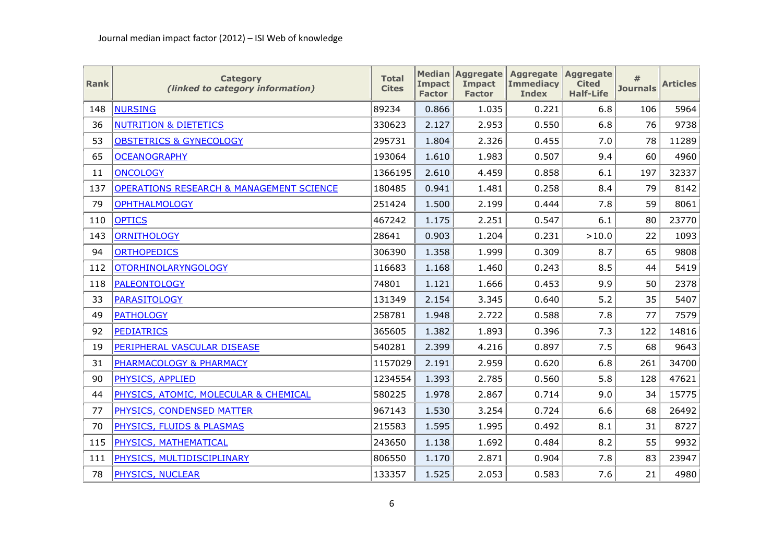| <b>Rank</b> | <b>Category</b><br>(linked to category information) | <b>Total</b><br><b>Cites</b> | <b>Impact</b><br><b>Factor</b> | <b>Median Aggregate</b><br><b>Impact</b><br><b>Factor</b> | Aggregate Aggregate<br><b>Immediacy</b><br><b>Index</b> | <b>Cited</b><br><b>Half-Life</b> | #<br><b>Journals</b> | <b>Articles</b> |
|-------------|-----------------------------------------------------|------------------------------|--------------------------------|-----------------------------------------------------------|---------------------------------------------------------|----------------------------------|----------------------|-----------------|
| 148         | <b>NURSING</b>                                      | 89234                        | 0.866                          | 1.035                                                     | 0.221                                                   | 6.8                              | 106                  | 5964            |
| 36          | <b>NUTRITION &amp; DIETETICS</b>                    | 330623                       | 2.127                          | 2.953                                                     | 0.550                                                   | 6.8                              | 76                   | 9738            |
| 53          | <b>OBSTETRICS &amp; GYNECOLOGY</b>                  | 295731                       | 1.804                          | 2.326                                                     | 0.455                                                   | 7.0                              | 78                   | 11289           |
| 65          | <b>OCEANOGRAPHY</b>                                 | 193064                       | 1.610                          | 1.983                                                     | 0.507                                                   | 9.4                              | 60                   | 4960            |
| 11          | <b>ONCOLOGY</b>                                     | 1366195                      | 2.610                          | 4.459                                                     | 0.858                                                   | 6.1                              | 197                  | 32337           |
| 137         | <b>OPERATIONS RESEARCH &amp; MANAGEMENT SCIENCE</b> | 180485                       | 0.941                          | 1.481                                                     | 0.258                                                   | 8.4                              | 79                   | 8142            |
| 79          | <b>OPHTHALMOLOGY</b>                                | 251424                       | 1.500                          | 2.199                                                     | 0.444                                                   | 7.8                              | 59                   | 8061            |
| 110         | <b>OPTICS</b>                                       | 467242                       | 1.175                          | 2.251                                                     | 0.547                                                   | 6.1                              | 80                   | 23770           |
| 143         | <b>ORNITHOLOGY</b>                                  | 28641                        | 0.903                          | 1.204                                                     | 0.231                                                   | >10.0                            | 22                   | 1093            |
| 94          | <b>ORTHOPEDICS</b>                                  | 306390                       | 1.358                          | 1.999                                                     | 0.309                                                   | 8.7                              | 65                   | 9808            |
| 112         | <b>OTORHINOLARYNGOLOGY</b>                          | 116683                       | 1.168                          | 1.460                                                     | 0.243                                                   | 8.5                              | 44                   | 5419            |
| 118         | <b>PALEONTOLOGY</b>                                 | 74801                        | 1.121                          | 1.666                                                     | 0.453                                                   | 9.9                              | 50                   | 2378            |
| 33          | <b>PARASITOLOGY</b>                                 | 131349                       | 2.154                          | 3.345                                                     | 0.640                                                   | 5.2                              | 35                   | 5407            |
| 49          | <b>PATHOLOGY</b>                                    | 258781                       | 1.948                          | 2.722                                                     | 0.588                                                   | 7.8                              | 77                   | 7579            |
| 92          | <b>PEDIATRICS</b>                                   | 365605                       | 1.382                          | 1.893                                                     | 0.396                                                   | 7.3                              | 122                  | 14816           |
| 19          | PERIPHERAL VASCULAR DISEASE                         | 540281                       | 2.399                          | 4.216                                                     | 0.897                                                   | 7.5                              | 68                   | 9643            |
| 31          | PHARMACOLOGY & PHARMACY                             | 1157029                      | 2.191                          | 2.959                                                     | 0.620                                                   | 6.8                              | 261                  | 34700           |
| 90          | PHYSICS, APPLIED                                    | 1234554                      | 1.393                          | 2.785                                                     | 0.560                                                   | 5.8                              | 128                  | 47621           |
| 44          | PHYSICS, ATOMIC, MOLECULAR & CHEMICAL               | 580225                       | 1.978                          | 2.867                                                     | 0.714                                                   | 9.0                              | 34                   | 15775           |
| 77          | PHYSICS, CONDENSED MATTER                           | 967143                       | 1.530                          | 3.254                                                     | 0.724                                                   | 6.6                              | 68                   | 26492           |
| 70          | PHYSICS, FLUIDS & PLASMAS                           | 215583                       | 1.595                          | 1.995                                                     | 0.492                                                   | 8.1                              | 31                   | 8727            |
| 115         | PHYSICS, MATHEMATICAL                               | 243650                       | 1.138                          | 1.692                                                     | 0.484                                                   | 8.2                              | 55                   | 9932            |
| 111         | PHYSICS, MULTIDISCIPLINARY                          | 806550                       | 1.170                          | 2.871                                                     | 0.904                                                   | 7.8                              | 83                   | 23947           |
| 78          | PHYSICS, NUCLEAR                                    | 133357                       | 1.525                          | 2.053                                                     | 0.583                                                   | 7.6                              | 21                   | 4980            |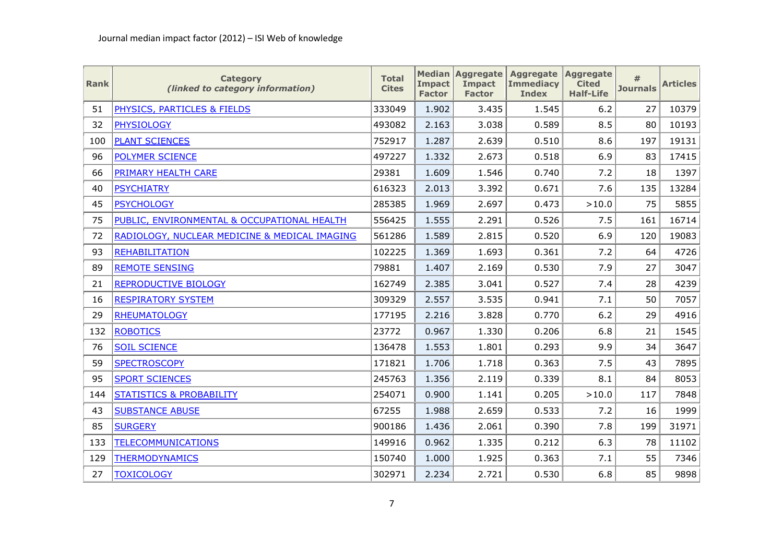| <b>Rank</b> | <b>Category</b><br>(linked to category information) | <b>Total</b><br><b>Cites</b> | <b>Impact</b><br><b>Factor</b> | <b>Median Aggregate</b><br><b>Impact</b><br><b>Factor</b> | Aggregate Aggregate<br><b>Immediacy</b><br><b>Index</b> | <b>Cited</b><br><b>Half-Life</b> | #<br><b>Journals</b> | <b>Articles</b> |
|-------------|-----------------------------------------------------|------------------------------|--------------------------------|-----------------------------------------------------------|---------------------------------------------------------|----------------------------------|----------------------|-----------------|
| 51          | PHYSICS, PARTICLES & FIELDS                         | 333049                       | 1.902                          | 3.435                                                     | 1.545                                                   | 6.2                              | 27                   | 10379           |
| 32          | <b>PHYSIOLOGY</b>                                   | 493082                       | 2.163                          | 3.038                                                     | 0.589                                                   | 8.5                              | 80                   | 10193           |
| 100         | <b>PLANT SCIENCES</b>                               | 752917                       | 1.287                          | 2.639                                                     | 0.510                                                   | 8.6                              | 197                  | 19131           |
| 96          | <b>POLYMER SCIENCE</b>                              | 497227                       | 1.332                          | 2.673                                                     | 0.518                                                   | 6.9                              | 83                   | 17415           |
| 66          | <b>PRIMARY HEALTH CARE</b>                          | 29381                        | 1.609                          | 1.546                                                     | 0.740                                                   | 7.2                              | 18                   | 1397            |
| 40          | <b>PSYCHIATRY</b>                                   | 616323                       | 2.013                          | 3.392                                                     | 0.671                                                   | 7.6                              | 135                  | 13284           |
| 45          | <b>PSYCHOLOGY</b>                                   | 285385                       | 1.969                          | 2.697                                                     | 0.473                                                   | >10.0                            | 75                   | 5855            |
| 75          | PUBLIC, ENVIRONMENTAL & OCCUPATIONAL HEALTH         | 556425                       | 1.555                          | 2.291                                                     | 0.526                                                   | 7.5                              | 161                  | 16714           |
| 72          | RADIOLOGY, NUCLEAR MEDICINE & MEDICAL IMAGING       | 561286                       | 1.589                          | 2.815                                                     | 0.520                                                   | 6.9                              | 120                  | 19083           |
| 93          | <b>REHABILITATION</b>                               | 102225                       | 1.369                          | 1.693                                                     | 0.361                                                   | 7.2                              | 64                   | 4726            |
| 89          | <b>REMOTE SENSING</b>                               | 79881                        | 1.407                          | 2.169                                                     | 0.530                                                   | 7.9                              | 27                   | 3047            |
| 21          | <b>REPRODUCTIVE BIOLOGY</b>                         | 162749                       | 2.385                          | 3.041                                                     | 0.527                                                   | 7.4                              | 28                   | 4239            |
| 16          | <b>RESPIRATORY SYSTEM</b>                           | 309329                       | 2.557                          | 3.535                                                     | 0.941                                                   | 7.1                              | 50                   | 7057            |
| 29          | <b>RHEUMATOLOGY</b>                                 | 177195                       | 2.216                          | 3.828                                                     | 0.770                                                   | 6.2                              | 29                   | 4916            |
| 132         | <b>ROBOTICS</b>                                     | 23772                        | 0.967                          | 1.330                                                     | 0.206                                                   | 6.8                              | 21                   | 1545            |
| 76          | <b>SOIL SCIENCE</b>                                 | 136478                       | 1.553                          | 1.801                                                     | 0.293                                                   | 9.9                              | 34                   | 3647            |
| 59          | <b>SPECTROSCOPY</b>                                 | 171821                       | 1.706                          | 1.718                                                     | 0.363                                                   | 7.5                              | 43                   | 7895            |
| 95          | <b>SPORT SCIENCES</b>                               | 245763                       | 1.356                          | 2.119                                                     | 0.339                                                   | 8.1                              | 84                   | 8053            |
| 144         | <b>STATISTICS &amp; PROBABILITY</b>                 | 254071                       | 0.900                          | 1.141                                                     | 0.205                                                   | >10.0                            | 117                  | 7848            |
| 43          | <b>SUBSTANCE ABUSE</b>                              | 67255                        | 1.988                          | 2.659                                                     | 0.533                                                   | 7.2                              | 16                   | 1999            |
| 85          | <b>SURGERY</b>                                      | 900186                       | 1.436                          | 2.061                                                     | 0.390                                                   | 7.8                              | 199                  | 31971           |
| 133         | <b>TELECOMMUNICATIONS</b>                           | 149916                       | 0.962                          | 1.335                                                     | 0.212                                                   | 6.3                              | 78                   | 11102           |
| 129         | <b>THERMODYNAMICS</b>                               | 150740                       | 1.000                          | 1.925                                                     | 0.363                                                   | 7.1                              | 55                   | 7346            |
| 27          | <b>TOXICOLOGY</b>                                   | 302971                       | 2.234                          | 2.721                                                     | 0.530                                                   | 6.8                              | 85                   | 9898            |